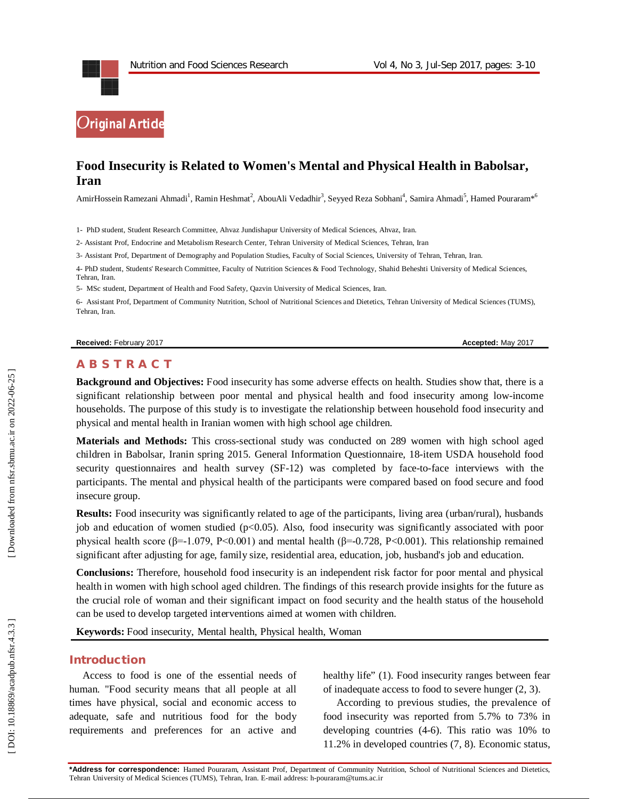

# **Food Insecurity is Related to Women's Mental and Physical Health in Babolsar, Iran**

AmirHossein Ramezani Ahmadi<sup>1</sup>, Ramin Heshmat<sup>2</sup>, AbouAli Vedadhir<sup>3</sup>, Seyyed Reza Sobhani<sup>4</sup>, Samira Ahmadi<sup>5</sup>, Hamed Pouraram\*<sup>6</sup>

1 - PhD student, Student Research Committee, Ahvaz Jundishapur University of Medical Sciences, Ahvaz, Iran.

2 - Assistant Prof, Endocrine and Metabolism Research Center, Tehran University of Medical Sciences, Tehran, Iran

3 - Assistant Prof, Department of Demography and Population Studies, Faculty of Social Sciences, University of Tehran, Tehran, Iran .

4 - PhD student, Students' Research Committee, Faculty of Nutrition Sciences & Food Technology, Shahid Beheshti University of Medical Sciences, Tehran, Iran.

5- MSc student, Department of Health and Food Safety, Qazvin University of Medical Sciences, Iran .

6 - Assistant Prof, Department of Community Nutrition, School of Nutritional Sciences and Dietetics, Tehran University of Medical Sciences (TUMS), Tehran, Iran .

#### **Received:** February 201

7 **Accepted:** May 201 7

#### **A B S T R A C T**

**Background and Objectives:** Food insecurity has some adverse effects on health. Studies show that, there is a significant relationship between poor mental and physical health and food insecurity among low -income households. The purpose of this study is to investigate the relationship between household food insecurity and physical and mental health in Iranian women with high school age children.

**Materials and Methods:** This cross -sectional study was conducted on 289 women with high school aged children in Babolsar, Iranin spring 2015. General Information Questionnaire, 18 -item USDA household food security questionnaires and health survey (SF-12) was completed by face-to-face interviews with the participants. The mental and physical health of the participants were compared based on food secure and food insecure group.

**Results:** Food insecurity was significantly related to age of the participants, living area (urban/rural), husbands job and education of women studied  $(p<0.05)$ . Also, food insecurity was significantly associated with poor physical health score (β=-1.079, P<0.001) and mental health (β=-0.728, P<0.001). This relationship remained significant after adjusting for age, family size, residential area, education, job, husband's job and education.

**Conclusions:** Therefore , household food insecurity is an independent risk factor for poor mental and physical health in women with high school aged children. The findings of this research provide insights for the future as the crucial role of woman and their significant impact on food security and the health status of the household can be used to develop targeted interventions aimed at women with children .

**Keywords:** Food insecurity, Mental health, Physical health, Woman

### **Introduction**

Access to food is one of the essential needs of human. "Food security means that all people at all times have physical, social and economic access to adequate, safe and nutritious food for the body requirements and preferences for an active and healthy life" (1). Food insecurity ranges between fear of inadequate access to food to severe hunger (2, 3) .

According to previous studies, the prevalence of food insecurity was reported from 5.7% to 73% in developing countries (4 -6). This ratio was 10% to 11.2% in developed countries (7, 8). Economic status,

**\*Address for correspondence:** Hamed Pouraram, Assistant Prof, Department of Community Nutrition, School of Nutritional Sciences and Dietetics, Tehran University of Medical Sciences (TUMS), Tehran, Iran. E -mail address: h -pouraram@tums.ac.ir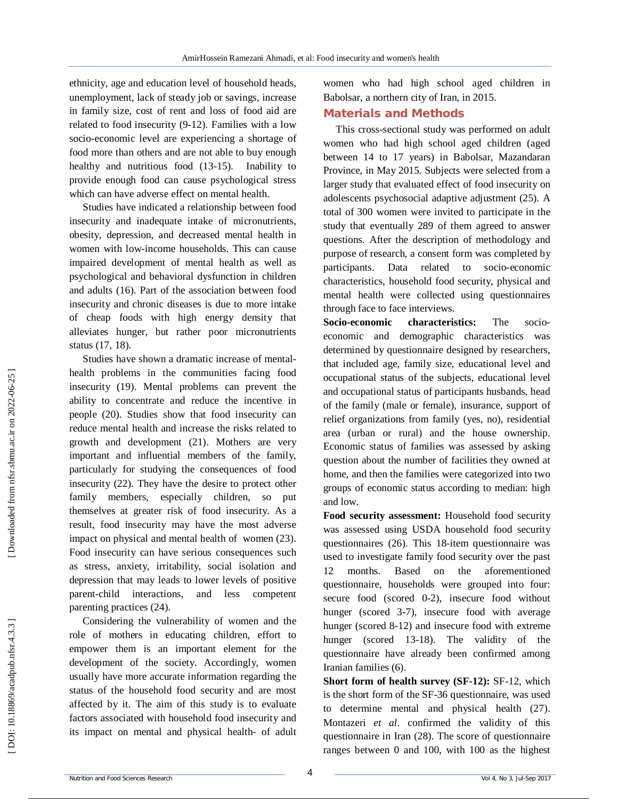ethnicity, age and education level of household heads, unemployment, lack of steady job or savings, increase in family size, cost of rent and loss of food aid are related to food insecurity (9 -12). Families with a low socio -economic level are experiencing a shortage of food more than others and are not able to buy enough healthy and nutritious food (13-15). Inability to provide enough food can cause psychological stress which can have adverse effect on mental health.

Studies have indicated a relationship between food insecurity and inadequate intake of micronutrients, obesity, depression, and decreased mental health in women with low -income households. This can cause impaired development of mental health as well as psychological and behavioral dysfunction in children and adults (16). Part of the association between food insecurity and chronic diseases is due to more intake of cheap foods with high energy density that alleviates hunger, but rather poor micronutrients status (17, 18) .

Studies have shown a dramatic increase of mental health problems in the communities facing food insecurity (19). Mental problems can prevent the ability to concentrate and reduce the incentive in people (20). Studies show that food insecurity can reduce mental health and increase the risks related to growth and development (21). Mothers are very important and influential members of the family, particularly for studying the consequences of food insecurity (22). They have the desire to protect other family members, especially children, so put themselves at greater risk of food insecurity. As a result, food insecurity may have the most adverse impact on physical and mental health of women (23). Food insecurity can have serious consequences such as stress, anxiety, irritability, social isolation and depression that may leads to lower levels of positive parent -child interactions, and less competent parenting practices (24) .

Considering the vulnerability of women and the role of mothers in educating children, effort to empower them is an important element for the development of the society. Accordingly, women usually have more accurate information regarding the status of the household food security and are most affected by it. The aim of this study is to evaluate factors associated with household food insecurity and its impact on mental and physical health- of adult women who had high school aged children in Babolsar, a northern city of Iran, in 2015.

### **Material s and Methods**

 This cross -sectional study was performed on adult women who had high school aged children (aged between 14 to 17 years) in Babolsar, Mazandaran Province, in May 2015. Subjects were selected from a larger study that evaluated effect of food insecurity on adolescents psychosocial adaptive adjustment (25). A total of 300 women were invited to participate in the study that eventually 289 of them agreed to answer questions. After the description of methodology and purpose of research, a consent form was completed by participants. Data related to socio -economic characteristics, household food security, physical and mental health were collected using questionnaires through face to face interviews.

**Socio characteristics:** The socioeconomic and demographic characteristics was determined by questionnaire designed by researchers, that included age, family size, educational level and occupational status of the subjects, educational level and occupational status of participants husbands, head of the family (male or female), insurance, support of relief organizations from family (yes, no), residential area (urban or rural) and the house ownership. Economic status of families was assessed by asking question about the number of facilities they owned at home, and then the families were categorized into two groups of economic status according to median: high and low.

**Food security assessment:** Household food security was assessed using USDA household food security questionnaires (26). This 18 -item questionnaire was used to investigate family food security over the past 12 months. Based on the aforementioned questionnaire, households were grouped into four: secure food (scored 0 -2), insecure food without hunger (scored 3 -7), insecure food with average hunger (scored 8 -12) and insecure food with extreme hunger (scored 13 -18). The validity of the questionnaire have already been confirmed among Iranian families (6).

**Short form of health survey (SF-12): SF-12, which** is the short form of the SF -36 questionnaire, was used to determine mental and physical health (27). Montazeri *et al*. confirmed the validity of this questionnaire in Iran (28). The score of questionnaire ranges between 0 and 100, with 100 as the highest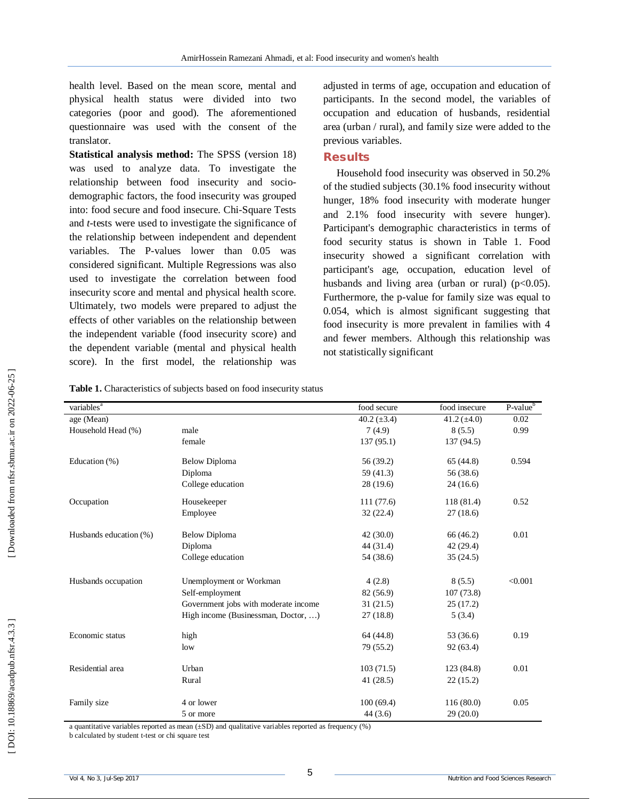health level. Based on the mean score, mental and physical health status were divided into two categories (poor and good). The aforementioned questionnaire was used with the consent of the translator.

**Statistical analysis method:** The SPSS (version 18) was used to analyze data. To investigate the relationship between food insecurity and socio demographic factors, the food insecurity was grouped into: food secure and food insecure. Chi -Square Tests and *t* -tests were used to investigate the significance of the relationship between independent and dependent variables. The P -values lower than 0.05 was considered significant. Multiple Regressions was also used to investigate the correlation between food insecurity score and mental and physical health score. Ultimately, two models were prepared to adjust the effects of other variables on the relationship between the independent variable (food insecurity score) and the dependent variable (mental and physical health score). In the first model, the relationship was

adjusted in terms of age, occupation and education of participants. In the second model, the variables of occupation and education of husbands, residential area (urban / rural), and family size were added to the previous variables.

### **Results**

Household food insecurity was observed in 50.2% of the studied subjects (30.1 % food insecurity without hunger, 18 % food insecurity with moderate hunger and 2.1 % food insecurity with severe hunger). Participant's demographic characteristics in terms of food security status is shown in Table 1. Food insecurity showed a significant correlation with participant's age, occupation, education level of husbands and living area (urban or rural) ( $p<0.05$ ). Furthermore, the p -value for family size was equal to 0.054, which is almost significant suggesting that food insecurity is more prevalent in families with 4 and fewer members. Although this relationship was not statistically significant

**Table 1.** Characteristics of subjects based on food insecurity status

| variables <sup>a</sup> |                                      | food secure      | food insecure    | $P-valueb$ |
|------------------------|--------------------------------------|------------------|------------------|------------|
| age (Mean)             |                                      | 40.2 $(\pm 3.4)$ | 41.2 $(\pm 4.0)$ | 0.02       |
| Household Head (%)     | male                                 | 7(4.9)           | 8(5.5)           | 0.99       |
|                        | female                               | 137(95.1)        | 137 (94.5)       |            |
| Education (%)          | <b>Below Diploma</b>                 | 56 (39.2)        | 65(44.8)         | 0.594      |
|                        | Diploma                              | 59 (41.3)        | 56 (38.6)        |            |
|                        | College education                    | 28(19.6)         | 24(16.6)         |            |
| Occupation             | Housekeeper                          | 111(77.6)        | 118 (81.4)       | 0.52       |
|                        | Employee                             | 32(22.4)         | 27(18.6)         |            |
| Husbands education (%) | <b>Below Diploma</b>                 | 42(30.0)         | 66 (46.2)        | 0.01       |
|                        | Diploma                              | 44(31.4)         | 42(29.4)         |            |
|                        | College education                    | 54 (38.6)        | 35(24.5)         |            |
| Husbands occupation    | Unemployment or Workman              | 4(2.8)           | 8(5.5)           | < 0.001    |
|                        | Self-employment                      | 82 (56.9)        | 107(73.8)        |            |
|                        | Government jobs with moderate income | 31(21.5)         | 25(17.2)         |            |
|                        | High income (Businessman, Doctor, )  | 27(18.8)         | 5(3.4)           |            |
| Economic status        | high                                 | 64 (44.8)        | 53 (36.6)        | 0.19       |
|                        | low                                  | 79 (55.2)        | 92(63.4)         |            |
| Residential area       | Urban                                | 103(71.5)        | 123 (84.8)       | 0.01       |
|                        | Rural                                | 41(28.5)         | 22(15.2)         |            |
| Family size            | 4 or lower                           | 100(69.4)        | 116(80.0)        | 0.05       |
|                        | 5 or more                            | 44(3.6)          | 29(20.0)         |            |

a quantitative variables reported as mean (±SD) and qualitative variables reported as frequency (%)

b calculated by student t -test or chi square test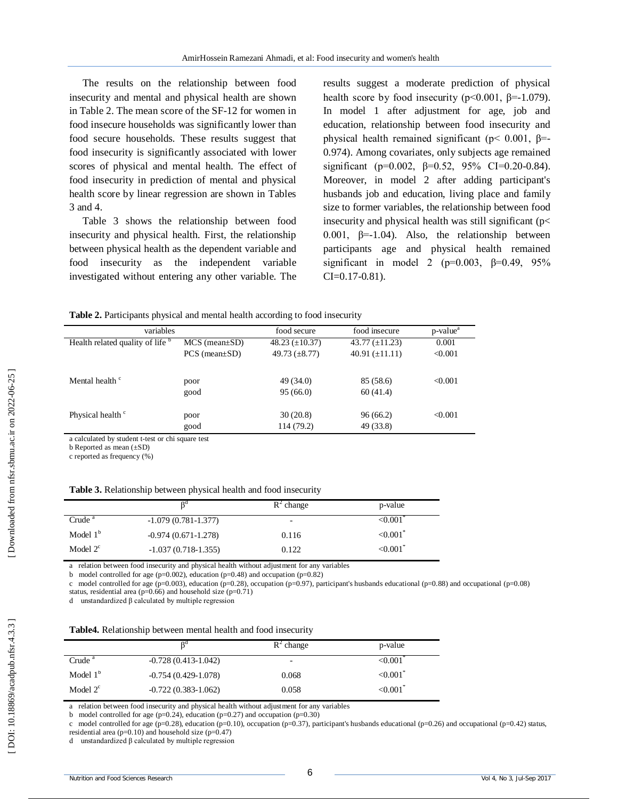The results on the relationship between food insecurity and mental and physical health are shown in Table 2. The mean score of the SF -12 for women in food insecure households was significantly lower than food secure households. These results suggest that food insecurity is significantly associated with lower scores of physical and mental health. The effect of food insecurity in prediction of mental and physical health score by linear regression are shown in Tables 3 and 4.

Table 3 shows the relationship between food insecurity and physical health. First, the relationship between physical health as the dependent variable and food insecurity as the independent variable investigated without entering any other variable. The

results suggest a moderate prediction of physical health score by food insecurity ( $p \le 0.001$ ,  $\beta = -1.079$ ). In model 1 after adjustment for age, job and education, relationship between food insecurity and physical health remained significant ( $p$ < 0.001,  $β$ = 0.974). Among covariates, only subjects age remained significant (p=0.002,  $\beta$ =0.52, 95% CI=0.20-0.84). Moreover, in model 2 after adding participant's husbands job and education, living place and family size to former variables, the relationship between food insecurity and physical health was still significant (p< 0.001,  $\beta$ =-1.04). Also, the relationship between participants age and physical health remained significant in model 2 (p=0.003,  $\beta$ =0.49, 95%  $CI = 0.17 - 0.81$ ).

**Table 2.** Participants physical and mental health according to food insecurity

| variables                        |                        | food secure            | food insecure          | p-value <sup>a</sup> |
|----------------------------------|------------------------|------------------------|------------------------|----------------------|
| Health related quality of life b | $MCS$ (mean $\pm SD$ ) | 48.23 $(\pm 10.37)$    | 43.77 $(\pm 11.23)$    | 0.001                |
|                                  | $PCS$ (mean $\pm SD$ ) | 49.73 $(\pm 8.77)$     | 40.91 $(\pm 11.11)$    | < 0.001              |
| Mental health <sup>c</sup>       | poor<br>good           | 49 (34.0)<br>95(66.0)  | 85 (58.6)<br>60(41.4)  | < 0.001              |
| Physical health <sup>c</sup>     | poor<br>good           | 30(20.8)<br>114 (79.2) | 96 (66.2)<br>49 (33.8) | < 0.001              |

a calculated by student t -test or chi square test

b Reported as mean (±SD)

c reported as frequency (%)

| Table 3. Relationship between physical health and food insecurity |  |  |  |  |
|-------------------------------------------------------------------|--|--|--|--|
|-------------------------------------------------------------------|--|--|--|--|

|                    |                       | $R^2$ change             | p-value                   |
|--------------------|-----------------------|--------------------------|---------------------------|
| Crude <sup>a</sup> | $-1.079(0.781-1.377)$ | $\overline{\phantom{a}}$ | < 0.001                   |
| Model $1b$         | $-0.974(0.671-1.278)$ | 0.116                    | $\leq 0.001$ <sup>*</sup> |
| Model $2^c$        | $-1.037(0.718-1.355)$ | 0.122                    | ${<}0.001$ <sup>*</sup>   |

a relation between food insecurity and physical health without adjustment for any variables

b model controlled for age (p=0.002), education (p=0.48) and occupation (p=0.82)

c model controlled for age (p=0.003), education (p=0.28), occupation (p=0.97), participant's husbands educational (p=0.88) and occupational (p=0.08) status, residential area ( $p=0.66$ ) and household size ( $p=0.71$ )

d unstandardized β calculated by multiple regression

| Table4. Relationship between mental health and food insecurity |  |  |  |
|----------------------------------------------------------------|--|--|--|
|----------------------------------------------------------------|--|--|--|

|                    | nd                      | $R^2$ change             | p-value                |
|--------------------|-------------------------|--------------------------|------------------------|
| Crude <sup>a</sup> | $-0.728(0.413-1.042)$   | $\overline{\phantom{0}}$ | < 0.001                |
| Model $1b$         | $-0.754(0.429-1.078)$   | 0.068                    | $< 0.001$ <sup>*</sup> |
| Model $2^c$        | $-0.722(0.383 - 1.062)$ | 0.058                    | $< 0.001$ <sup>*</sup> |

a relation between food insecurity and physical health without adjustment for any variables

b model controlled for age ( $p=0.24$ ), education ( $p=0.27$ ) and occupation ( $p=0.30$ )

c model controlled for age (p=0.28), education (p=0.10), occupation (p=0.37), participant's husbands educational (p=0.26) and occupational (p=0.42) status, residential area ( $p=0.10$ ) and household size ( $p=0.47$ )

d unstandardized β calculated by multiple regression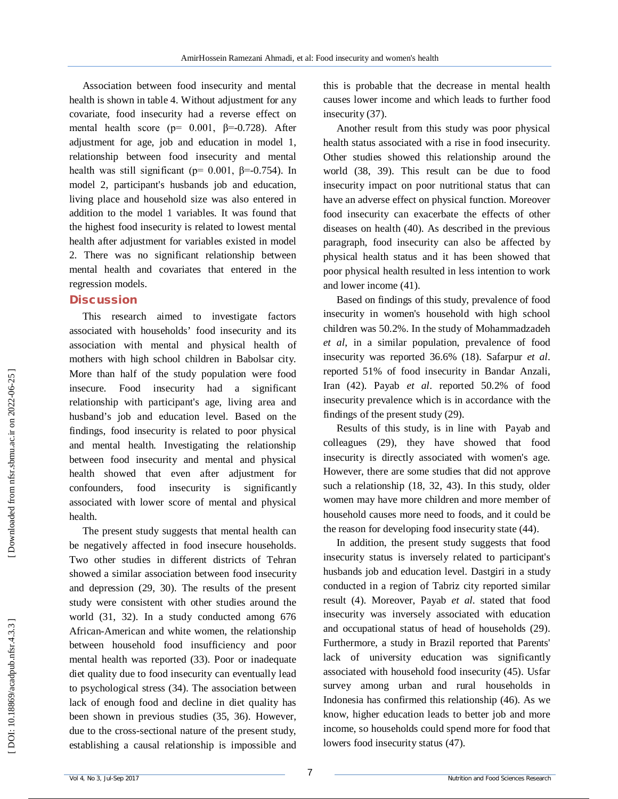Association between food insecurity and mental health is shown in table 4. Without adjustment for any covariate, food insecurity had a reverse effect on mental health score ( $p= 0.001$ ,  $\beta=0.728$ ). After adjustment for age, job and education in model 1, relationship between food insecurity and mental health was still significant ( $p= 0.001$ ,  $\beta = -0.754$ ). In model 2, participant's husbands job and education, living place and household size was also entered in addition to the model 1 variables. It was found that the highest food insecurity is related to lowest mental health after adjustment for variables existed in model 2. There was no significant relationship between mental health and covariates that entered in the regression models.

#### **Discussion**

This research aimed to investigate factors associated with households' food insecurity and its association with mental and physical health of mothers with high school children in Babolsar city. More than half of the study population were food insecure. Food insecurity had a significant relationship with participant's age, living area and husband's job and education level. Based on the findings, food insecurity is related to poor physical and mental health. Investigating the relationship between food insecurity and mental and physical health showed that even after adjustment for confounders, food insecurity is significantly associated with lower score of mental and physical health.

The present study suggests that mental health can be negatively affected in food insecure households. Two other studies in different districts of Tehran showed a similar association between food insecurity and depression (29, 30). The results of the present study were consistent with other studies around the world (31, 32). In a study conducted among 676 African -American and white women, the relationship between household food insufficiency and poor mental health was reported (33). Poor or inadequate diet quality due to food insecurity can eventually lead to psychological stress (34). The association between lack of enough food and decline in diet quality has been shown in previous studies (35, 36). However, due to the cross -sectional nature of the present study, establishing a causal relationship is impossible and

this is probable that the decrease in mental health causes lower income and which leads to further food insecurity (37) .

Another result from this study was poor physical health status associated with a rise in food insecurity. Other studies showed this relationship around the world (38, 39). This result can be due to food insecurity impact on poor nutritional status that can have an adverse effect on physical function. Moreover food insecurity can exacerbate the effects of other diseases on health (40). As described in the previous paragraph, food insecurity can also be affected by physical health status and it has been showed that poor physical health resulted in less intention to work and lower income (41).

Based on findings of this study, prevalence of food insecurity in women's household with high school children was 50.2%. In the study of Mohammadzadeh *et al*, in a similar population, prevalence of food insecurity was reported 36.6% (18). Safarpur *et al*. reported 51% of food insecurity in Bandar Anzali, Iran (42). Payab *et al*. reported 50.2% of food insecurity prevalence which is in accordance with the findings of the present study (29) .

Results of this study, is in line with Payab and colleagues (29), they have showed that food insecurity is directly associated with women's age. However, there are some studies that did not approve such a relationship (18, 32, 43). In this study, older women may have more children and more member of household causes more need to foods, and it could be the reason for developing food insecurity state (44).

In addition, the present study suggests that food insecurity status is inversely related to participant's husbands job and education level. Dastgiri in a study conducted in a region of Tabriz city reported similar result (4). Moreover, Payab *et al*. stated that food insecurity was inversely associated with education and occupational status of head of households (29). Furthermore, a study in Brazil reported that Parents' lack of university education was significantly associated with household food insecurity (45). Usfar survey among urban and rural households in Indonesia has confirmed this relationship (46). As we know, higher education leads to better job and more income, so households could spend more for food that lowers food insecurity status (47).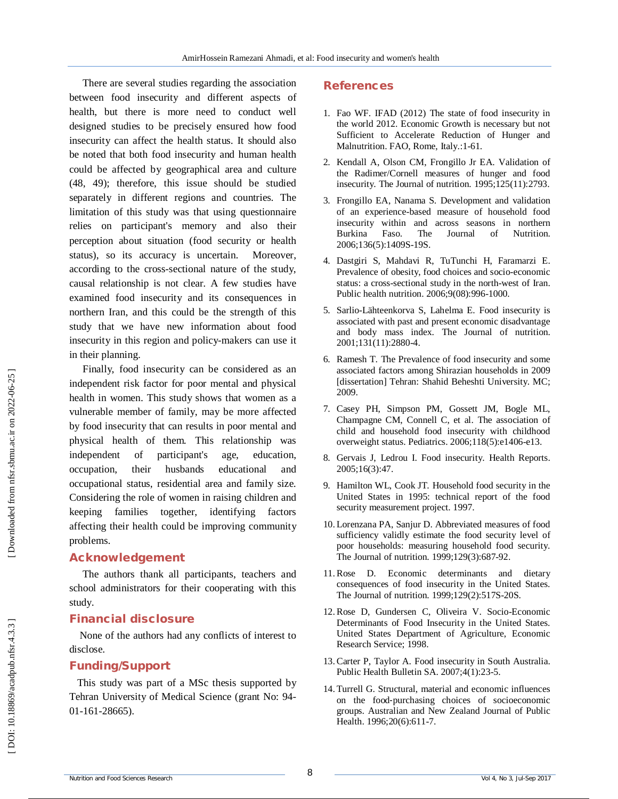There are several studies regarding the association between food insecurity and different aspects of health, but there is more need to conduct well designed studies to be precisely ensured how food insecurity can affect the health status. It should also be noted that both food insecurity and human health could be affected by geographical area and culture (48, 49); therefore, this issue should be studied separately in different regions and countries. The limitation of this study was that using questionnaire relies on participant's memory and also their perception about situation (food security or health status), so its accuracy is uncertain. Moreover, according to the cross -sectional nature of the study, causal relationship is not clear. A few studies have examined food insecurity and its consequences in northern Iran, and this could be the strength of this study that we have new information about food insecurity in this region and policy -makers can use it in their planning.

Finally, food insecurity can be considered as an independent risk factor for poor mental and physical health in women. This study shows that women as a vulnerable member of family, may be more affected by food insecurity that can results in poor mental and physical health of them. This relationship was independent of participant's age, education, occupation, their husbands educational and occupational status, residential area and family size. Considering the role of women in raising children and keeping families together, identifying factors affecting their health could be improving community problems.

#### **Acknowledgement**

The authors thank all participants, teachers and school administrators for their cooperating with this study.

### **Financial disclosure**

None of the authors had any conflicts of interest to disclose.

### **Funding/Support**

This study was part of a MSc thesis supported by Tehran University of Medical Science (grant No: 94 - 01 -161 -28665).

## **References**

- 1. Fao WF. IFAD (2012) The state of food insecurity in the world 2012. Economic Growth is necessary but not Sufficient to Accelerate Reduction of Hunger and Malnutrition. FAO, Rome, Italy.:1 -61 .
- 2. Kendall A, Olson CM, Frongillo Jr EA. Validation of the Radimer/Cornell measures of hunger and food insecurity. The Journal of nutrition. 1995;125(11):2793.
- 3. Frongillo EA, Nanama S. Development and validation of an experience -based measure of household food insecurity within and across seasons in northern Burkina Faso. The Journal of Nutrition. 2006;136(5):1409S -19S.
- 4. Dastgiri S, Mahdavi R, TuTunchi H, Faramarzi E. Prevalence of obesity, food choices and socio -economic status: a cross -sectional study in the north -west of Iran. Public health nutrition. 2006;9(08):996 -1000.
- 5. Sarlio -Lähteenkorva S, Lahelma E. Food insecurity is associated with past and present economic disadvantage and body mass index. The Journal of nutrition. 2001;131(11):2880 -4.
- 6. Ramesh T. The Prevalence of food insecurity and some associated factors among Shirazian households in 2009 [dissertation] Tehran: Shahid Beheshti University. MC; 2009.
- 7. Casey PH, Simpson PM, Gossett JM, Bogle ML, Champagne CM, Connell C, et al. The association of child and household food insecurity with childhood overweight status. Pediatrics. 2006;118(5):e1406 -e13.
- 8. Gervais J, Ledrou I. Food insecurity. Health Reports. 2005;16(3):47.
- 9. Hamilton WL, Cook JT. Household food security in the United States in 1995: technical report of the food security measurement project. 1997.
- 10. Lorenzana PA, Sanjur D. Abbreviated measures of food sufficiency validly estimate the food security level of poor households: measuring household food security. The Journal of nutrition. 1999;129(3):687 -92.
- 11.Rose D. Economic determinants and dietary consequences of food insecurity in the United States. The Journal of nutrition. 1999;129(2):517S -20S.
- 12.Rose D, Gundersen C, Oliveira V. Socio -Economic Determinants of Food Insecurity in the United States. United States Department of Agriculture, Economic Research Service; 1998.
- 13.Carter P, Taylor A. Food insecurity in South Australia. Public Health Bulletin SA. 2007;4(1):23 -5.
- 14. Turrell G. Structural, material and economic influences on the food ‐purchasing choices of socioeconomic groups. Australian and New Zealand Journal of Public Health. 1996;20(6):611 -7.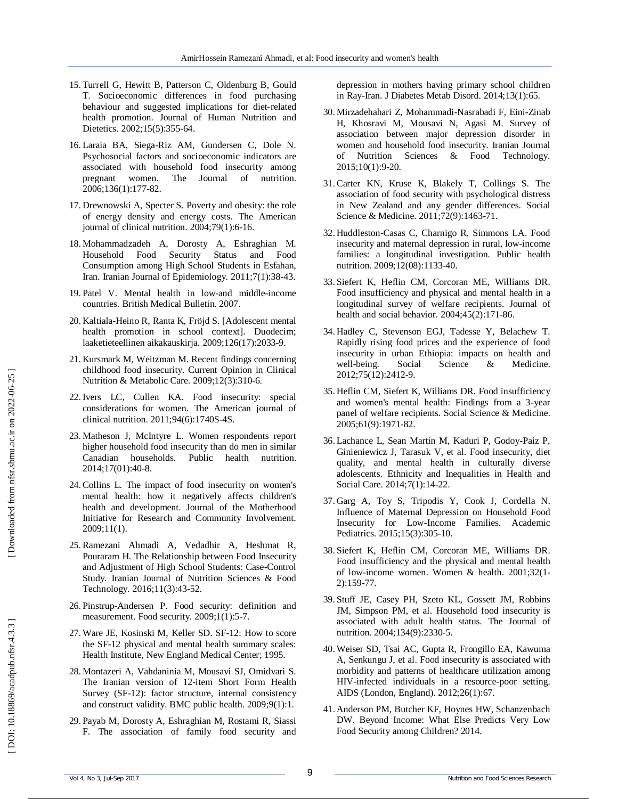- 15. Turrell G, Hewitt B, Patterson C, Oldenburg B, Gould T. Socioeconomic differences in food purchasing behaviour and suggested implications for diet ‐related health promotion. Journal of Human Nutrition and Dietetics. 2002;15(5):355 -64.
- 16. Laraia BA, Siega -Riz AM, Gundersen C, Dole N. Psychosocial factors and socioeconomic indicators are associated with household food insecurity among pregnant women. The Journal of nutrition. 2006;136(1):177 -82.
- 17. Drewnowski A, Specter S. Poverty and obesity: the role of energy density and energy costs. The American journal of clinical nutrition. 2004;79(1):6 -16.
- 18. Mohammadzadeh A, Dorosty A, Eshraghian M. Household Food Security Status and Food Consumption among High School Students in Esfahan, Iran. Iranian Journal of Epidemiology. 2011;7(1):38 -43.
- 19. Patel V. Mental health in low -and middle -income countries. British Medical Bulletin. 2007.
- 20. Kaltiala -Heino R, Ranta K, Fröjd S. [Adolescent mental health promotion in school context]. Duodecim; laaketieteellinen aikakauskirja. 2009;126(17):2033 -9.
- 21. Kursmark M, Weitzman M. Recent findings concerning childhood food insecurity. Current Opinion in Clinical Nutrition & Metabolic Care. 2009;12(3):310 -6.
- 22.Ivers LC, Cullen KA. Food insecurity: special considerations for women. The American journal of clinical nutrition. 2011;94(6):1740S -4S.
- 23. Matheson J, McIntyre L. Women respondents report higher household food insecurity than do men in similar Canadian households. Public health nutrition. 2014;17(01):40 -8.
- 24.Collins L. The impact of food insecurity on women's mental health: how it negatively affects children's health and development. Journal of the Motherhood Initiative for Research and Community Involvement. 2009;11(1).
- 25.Ramezani Ahmadi A, Vedadhir A, Heshmat R, Pouraram H. The Relationship between Food Insecurity and Adjustment of High School Students: Case-Control Study. Iranian Journal of Nutrition Sciences & Food Technology. 2016;11(3):43 -52.
- 26. Pinstrup -Andersen P. Food security: definition and measurement. Food security. 2009;1(1):5 -7.
- 27.Ware JE, Kosinski M, Keller SD. SF -12: How to score the SF -12 physical and mental health summary scales: Health Institute, New England Medical Center; 1995.
- 28. Montazeri A, Vahdaninia M, Mousavi SJ, Omidvari S. The Iranian version of 12 -item Short Form Health Survey (SF -12): factor structure, internal consistency and construct validity. BMC public health. 2009;9(1):1.
- 29. Payab M, Dorosty A, Eshraghian M, Rostami R, Siassi F. The association of family food security and

depression in mothers having primary school children in Ray -Iran. J Diabetes Metab Disord. 2014;13(1):65.

- 30. Mirzadehahari Z, Mohammadi -Nasrabadi F, Eini -Zinab H, Khosravi M, Mousavi N, Agasi M. Survey of association between major depression disorder in women and household food insecurity. Iranian Journal of Nutrition Sciences & Food Technology. 2015;10(1):9 -20.
- 31.Carter KN, Kruse K, Blakely T, Collings S. The association of food security with psychological distress in New Zealand and any gender differences. Social Science & Medicine. 2011;72(9):1463 -71.
- 32. Huddleston -Casas C, Charnigo R, Simmons LA. Food insecurity and maternal depression in rural, low -income families: a longitudinal investigation. Public health nutrition. 2009;12(08):1133 -40.
- 33. Siefert K, Heflin CM, Corcoran ME, Williams DR. Food insufficiency and physical and mental health in a longitudinal survey of welfare recipients. Journal of health and social behavior. 2004;45(2):171 -86.
- 34. Hadley C, Stevenson EGJ, Tadesse Y, Belachew T. Rapidly rising food prices and the experience of food insecurity in urban Ethiopia: impacts on health and well-being. Social Science & Medicine. 2012;75(12):2412 -9.
- 35. Heflin CM, Siefert K, Williams DR. Food insufficiency and women's mental health: Findings from a 3 -year panel of welfare recipients. Social Science & Medicine. 2005;61(9):1971 -82.
- 36. Lachance L, Sean Martin M, Kaduri P, Godoy -Paiz P, Ginieniewicz J, Tarasuk V, et al. Food insecurity, diet quality, and mental health in culturally diverse adolescents. Ethnicity and Inequalities in Health and Social Care. 2014;7(1):14 -22.
- 37. Garg A, Toy S, Tripodis Y, Cook J, Cordella N. Influence of Maternal Depression on Household Food Insecurity for Low -Income Families. Academic Pediatrics. 2015;15(3):305 -10.
- 38. Siefert K, Heflin CM, Corcoran ME, Williams DR. Food insufficiency and the physical and mental health of low -income women. Women & health. 2001;32(1 - 2):159 -77.
- 39. Stuff JE, Casey PH, Szeto KL, Gossett JM, Robbins JM, Simpson PM, et al. Household food insecurity is associated with adult health status. The Journal of nutrition. 2004;134(9):2330 -5.
- 40.Weiser SD, Tsai AC, Gupta R, Frongillo EA, Kawuma A, Senkungu J, et al. Food insecurity is associated with morbidity and patterns of healthcare utilization among HIV -infected individuals in a resource -poor setting. AIDS (London, England). 2012;26(1):67.
- 41 . Anderson PM, Butcher KF, Hoynes HW, Schanzenbach DW. Beyond Income: What Else Predicts Very Low Food Security among Children? 2014.